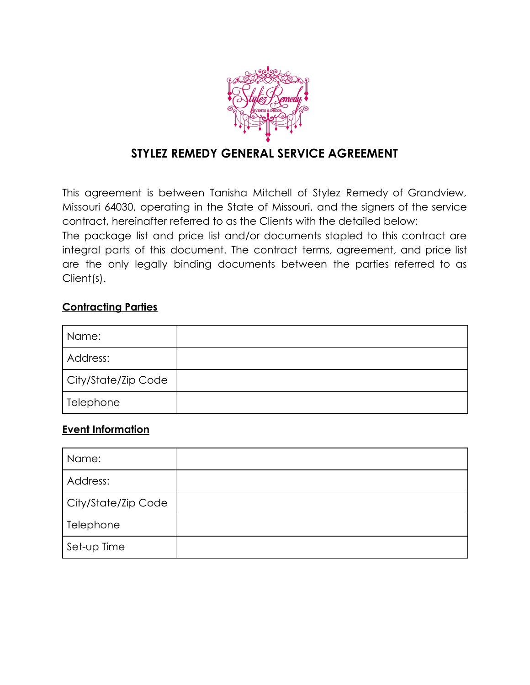

# **STYLEZ REMEDY GENERAL SERVICE AGREEMENT**

This agreement is between Tanisha Mitchell of Stylez Remedy of Grandview, Missouri 64030, operating in the State of Missouri, and the signers of the service contract, hereinafter referred to as the Clients with the detailed below:

The package list and price list and/or documents stapled to this contract are integral parts of this document. The contract terms, agreement, and price list are the only legally binding documents between the parties referred to as Client(s).

#### **Contracting Parties**

| Name:               |  |
|---------------------|--|
| Address:            |  |
| City/State/Zip Code |  |
| Telephone           |  |

#### **Event Information**

| Name:               |  |
|---------------------|--|
| Address:            |  |
| City/State/Zip Code |  |
| Telephone           |  |
| Set-up Time         |  |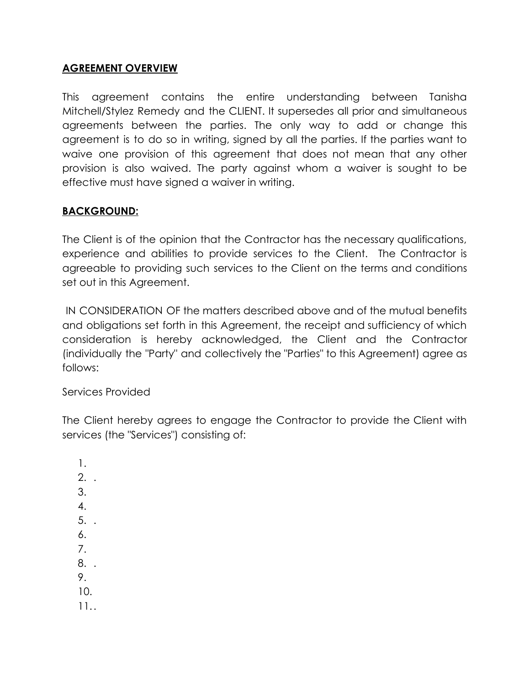#### **AGREEMENT OVERVIEW**

This agreement contains the entire understanding between Tanisha Mitchell/Stylez Remedy and the CLIENT. It supersedes all prior and simultaneous agreements between the parties. The only way to add or change this agreement is to do so in writing, signed by all the parties. If the parties want to waive one provision of this agreement that does not mean that any other provision is also waived. The party against whom a waiver is sought to be effective must have signed a waiver in writing.

#### **BACKGROUND:**

The Client is of the opinion that the Contractor has the necessary qualifications, experience and abilities to provide services to the Client. The Contractor is agreeable to providing such services to the Client on the terms and conditions set out in this Agreement.

IN CONSIDERATION OF the matters described above and of the mutual benefits and obligations set forth in this Agreement, the receipt and sufficiency of which consideration is hereby acknowledged, the Client and the Contractor (individually the "Party" and collectively the "Parties" to this Agreement) agree as follows:

Services Provided

The Client hereby agrees to engage the Contractor to provide the Client with services (the "Services") consisting of:

1.  $2.$ 3. 4. 5. . 6. 7. 8. . 9. 10. 11..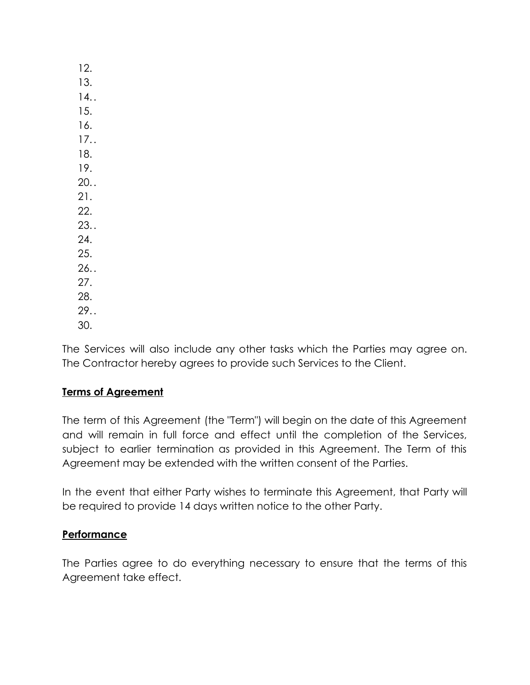| 12. |
|-----|
| 13. |
| 14. |
| 15. |
| 16. |
| 17. |
| 18. |
| 19. |
| 20. |
| 21. |
| 22. |
| 23. |
| 24. |
| 25. |
| 26. |
| 27. |
| 28. |
| 29. |
| 30. |

The Services will also include any other tasks which the Parties may agree on. The Contractor hereby agrees to provide such Services to the Client.

### **Terms of Agreement**

The term of this Agreement (the "Term") will begin on the date of this Agreement and will remain in full force and effect until the completion of the Services, subject to earlier termination as provided in this Agreement. The Term of this Agreement may be extended with the written consent of the Parties.

In the event that either Party wishes to terminate this Agreement, that Party will be required to provide 14 days written notice to the other Party.

#### **Performance**

The Parties agree to do everything necessary to ensure that the terms of this Agreement take effect.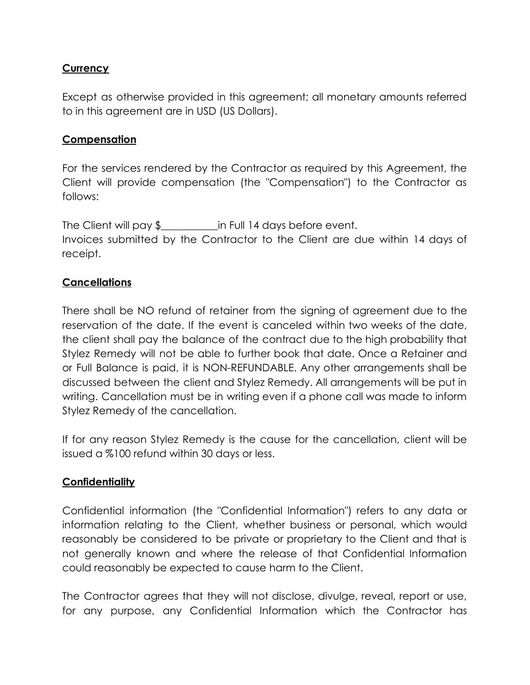#### **Currency**

Except as otherwise provided in this agreement; all monetary amounts referred to in this agreement are in USD (US Dollars).

#### **Compensation**

For the services rendered by the Contractor as required by this Agreement, the Client will provide compensation (the "Compensation") to the Contractor as follows:

The Client will pay \$ The Client will pay \$ The Client will pay \$ Invoices submitted by the Contractor to the Client are due within 14 days of receipt.

#### **Cancellations**

There shall be NO refund of retainer from the signing of agreement due to the reservation of the date. If the event is canceled within two weeks of the date, the client shall pay the balance of the contract due to the high probability that Stylez Remedy will not be able to further book that date. Once a Retainer and or Full Balance is paid, it is NON-REFUNDABLE. Any other arrangements shall be discussed between the client and Stylez Remedy. All arrangements will be put in writing. Cancellation must be in writing even if a phone call was made to inform Stylez Remedy of the cancellation.

If for any reason Stylez Remedy is the cause for the cancellation, client will be issued a %100 refund within 30 days or less.

#### **Confidentiality**

Confidential information (the "Confidential Information") refers to any data or information relating to the Client, whether business or personal, which would reasonably be considered to be private or proprietary to the Client and that is not generally known and where the release of that Confidential Information could reasonably be expected to cause harm to the Client.

The Contractor agrees that they will not disclose, divulge, reveal, report or use, for any purpose, any Confidential Information which the Contractor has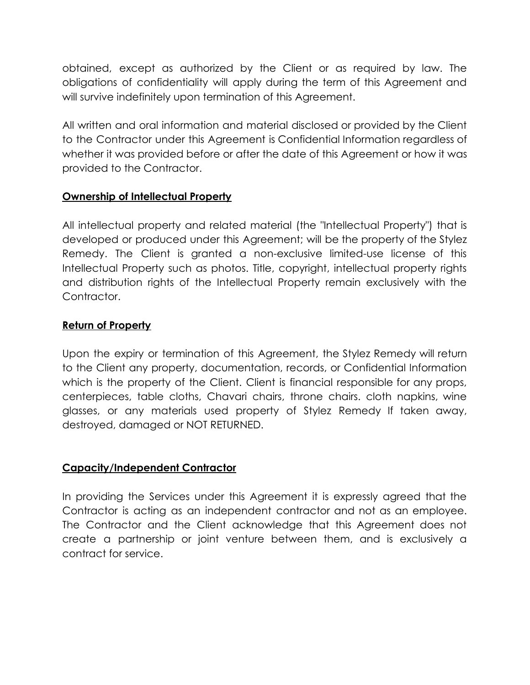obtained, except as authorized by the Client or as required by law. The obligations of confidentiality will apply during the term of this Agreement and will survive indefinitely upon termination of this Agreement.

All written and oral information and material disclosed or provided by the Client to the Contractor under this Agreement is Confidential Information regardless of whether it was provided before or after the date of this Agreement or how it was provided to the Contractor.

### **Ownership of Intellectual Property**

All intellectual property and related material (the "Intellectual Property") that is developed or produced under this Agreement; will be the property of the Stylez Remedy. The Client is granted a non-exclusive limited-use license of this Intellectual Property such as photos. Title, copyright, intellectual property rights and distribution rights of the Intellectual Property remain exclusively with the Contractor.

### **Return of Property**

Upon the expiry or termination of this Agreement, the Stylez Remedy will return to the Client any property, documentation, records, or Confidential Information which is the property of the Client. Client is financial responsible for any props, centerpieces, table cloths, Chavari chairs, throne chairs. cloth napkins, wine glasses, or any materials used property of Stylez Remedy If taken away, destroyed, damaged or NOT RETURNED.

### **Capacity/Independent Contractor**

In providing the Services under this Agreement it is expressly agreed that the Contractor is acting as an independent contractor and not as an employee. The Contractor and the Client acknowledge that this Agreement does not create a partnership or joint venture between them, and is exclusively a contract for service.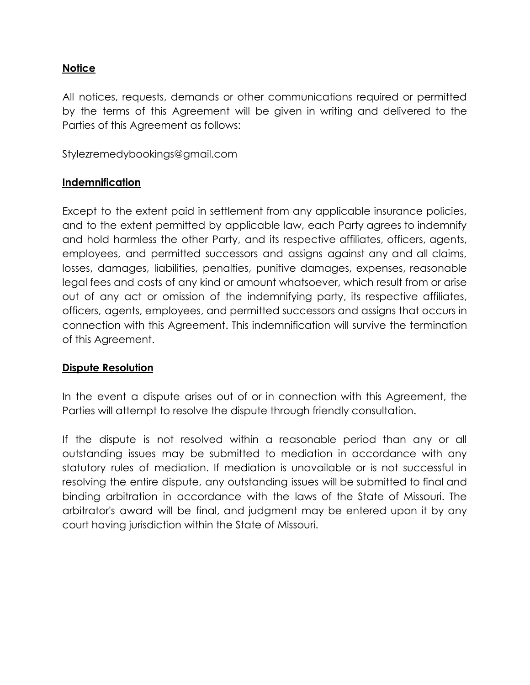### **Notice**

All notices, requests, demands or other communications required or permitted by the terms of this Agreement will be given in writing and delivered to the Parties of this Agreement as follows:

Stylezremedybookings@gmail.com

#### **Indemnification**

Except to the extent paid in settlement from any applicable insurance policies, and to the extent permitted by applicable law, each Party agrees to indemnify and hold harmless the other Party, and its respective affiliates, officers, agents, employees, and permitted successors and assigns against any and all claims, losses, damages, liabilities, penalties, punitive damages, expenses, reasonable legal fees and costs of any kind or amount whatsoever, which result from or arise out of any act or omission of the indemnifying party, its respective affiliates, officers, agents, employees, and permitted successors and assigns that occurs in connection with this Agreement. This indemnification will survive the termination of this Agreement.

#### **Dispute Resolution**

In the event a dispute arises out of or in connection with this Agreement, the Parties will attempt to resolve the dispute through friendly consultation.

If the dispute is not resolved within a reasonable period than any or all outstanding issues may be submitted to mediation in accordance with any statutory rules of mediation. If mediation is unavailable or is not successful in resolving the entire dispute, any outstanding issues will be submitted to final and binding arbitration in accordance with the laws of the State of Missouri. The arbitrator's award will be final, and judgment may be entered upon it by any court having jurisdiction within the State of Missouri.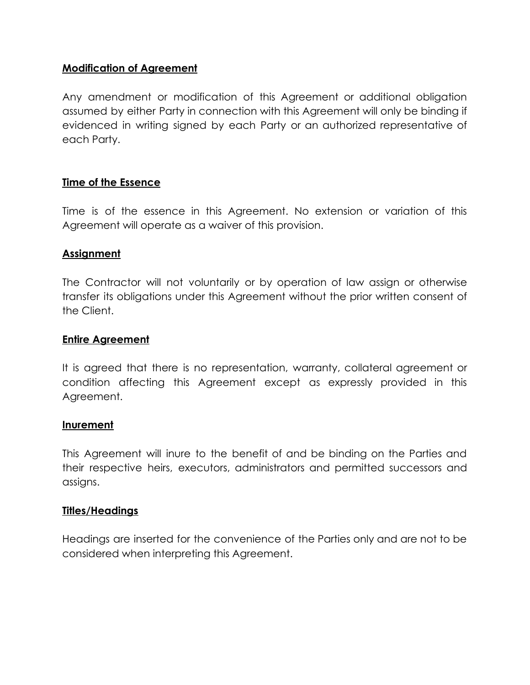#### **Modification of Agreement**

Any amendment or modification of this Agreement or additional obligation assumed by either Party in connection with this Agreement will only be binding if evidenced in writing signed by each Party or an authorized representative of each Party.

#### **Time of the Essence**

Time is of the essence in this Agreement. No extension or variation of this Agreement will operate as a waiver of this provision.

#### **Assignment**

The Contractor will not voluntarily or by operation of law assign or otherwise transfer its obligations under this Agreement without the prior written consent of the Client.

#### **Entire Agreement**

It is agreed that there is no representation, warranty, collateral agreement or condition affecting this Agreement except as expressly provided in this Agreement.

#### **Inurement**

This Agreement will inure to the benefit of and be binding on the Parties and their respective heirs, executors, administrators and permitted successors and assigns.

#### **Titles/Headings**

Headings are inserted for the convenience of the Parties only and are not to be considered when interpreting this Agreement.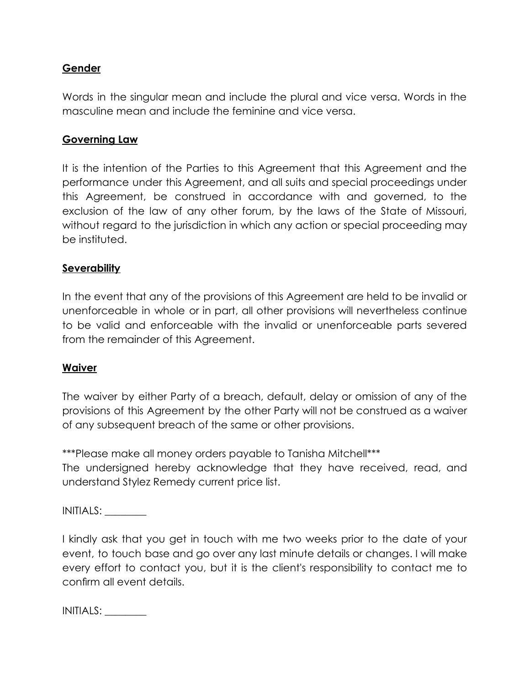#### **Gender**

Words in the singular mean and include the plural and vice versa. Words in the masculine mean and include the feminine and vice versa.

#### **Governing Law**

It is the intention of the Parties to this Agreement that this Agreement and the performance under this Agreement, and all suits and special proceedings under this Agreement, be construed in accordance with and governed, to the exclusion of the law of any other forum, by the laws of the State of Missouri, without regard to the jurisdiction in which any action or special proceeding may be instituted.

#### **Severability**

In the event that any of the provisions of this Agreement are held to be invalid or unenforceable in whole or in part, all other provisions will nevertheless continue to be valid and enforceable with the invalid or unenforceable parts severed from the remainder of this Agreement.

#### **Waiver**

The waiver by either Party of a breach, default, delay or omission of any of the provisions of this Agreement by the other Party will not be construed as a waiver of any subsequent breach of the same or other provisions.

\*\*\*Please make all money orders payable to Tanisha Mitchell\*\*\*

The undersigned hereby acknowledge that they have received, read, and understand Stylez Remedy current price list.

INITIALS: \_\_\_\_\_\_\_\_

I kindly ask that you get in touch with me two weeks prior to the date of your event, to touch base and go over any last minute details or changes. I will make every effort to contact you, but it is the client's responsibility to contact me to confirm all event details.

INITIALS: \_\_\_\_\_\_\_\_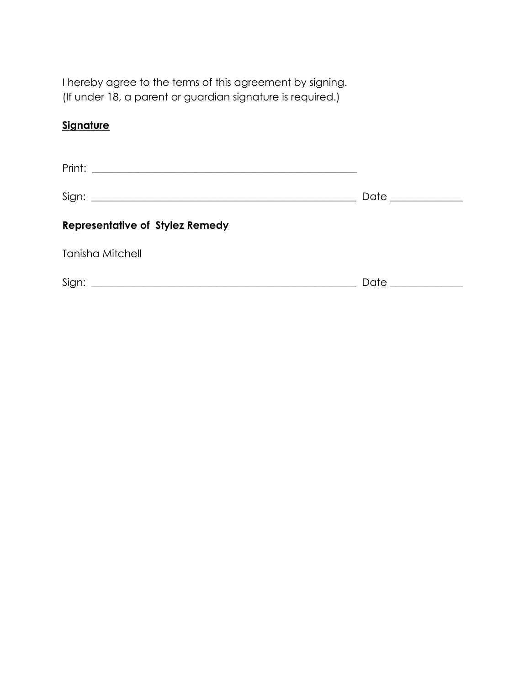I hereby agree to the terms of this agreement by signing. (If under 18, a parent or guardian signature is required.)

## **Signature**

|                                                                  | Date ____________ |
|------------------------------------------------------------------|-------------------|
| <b>Representative of Stylez Remedy</b>                           |                   |
| <b>Tanisha Mitchell</b>                                          |                   |
| Sign:<br><u> 1989 - Andrea Stadt, fransk politiker (d. 1989)</u> | Date              |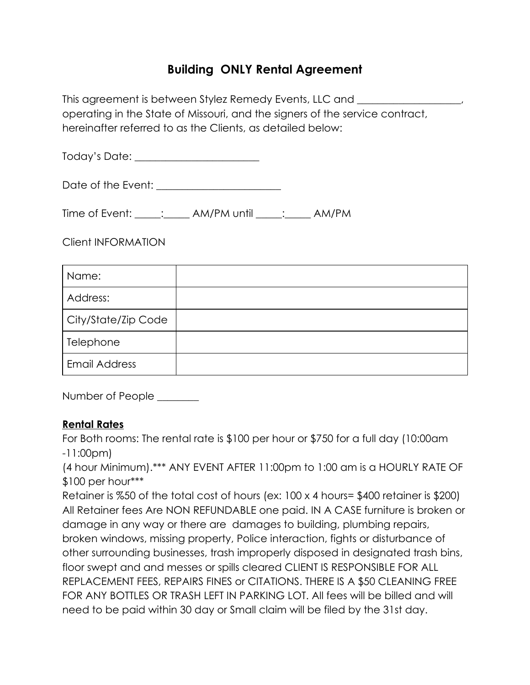# **Building ONLY Rental Agreement**

This agreement is between Stylez Remedy Events, LLC and \_\_\_\_\_\_\_\_\_\_\_\_\_\_\_\_\_\_\_\_\_\_\_\_ operating in the State of Missouri, and the signers of the service contract, hereinafter referred to as the Clients, as detailed below:

Today's Date: \_\_\_\_\_\_\_\_\_\_\_\_\_\_\_\_\_\_\_\_\_\_\_\_

Date of the Event: \_\_\_\_\_\_\_\_\_\_\_\_\_\_\_\_\_\_\_\_\_\_\_\_

Time of Event: \_\_\_\_\_: \_\_\_\_\_ AM/PM until \_\_\_\_\_: \_\_\_\_ AM/PM

Client INFORMATION

| Name:                |  |
|----------------------|--|
| Address:             |  |
| City/State/Zip Code  |  |
| Telephone            |  |
| <b>Email Address</b> |  |

Number of People \_\_\_\_\_\_\_\_

#### **Rental Rates**

For Both rooms: The rental rate is \$100 per hour or \$750 for a full day (10:00am -11:00pm)

(4 hour Minimum).\*\*\* ANY EVENT AFTER 11:00pm to 1:00 am is a HOURLY RATE OF \$100 per hour\*\*\*

Retainer is %50 of the total cost of hours (ex: 100 x 4 hours= \$400 retainer is \$200) All Retainer fees Are NON REFUNDABLE one paid. IN A CASE furniture is broken or damage in any way or there are damages to building, plumbing repairs, broken windows, missing property, Police interaction, fights or disturbance of other surrounding businesses, trash improperly disposed in designated trash bins, floor swept and and messes or spills cleared CLIENT IS RESPONSIBLE FOR ALL REPLACEMENT FEES, REPAIRS FINES or CITATIONS. THERE IS A \$50 CLEANING FREE FOR ANY BOTTLES OR TRASH LEFT IN PARKING LOT. All fees will be billed and will need to be paid within 30 day or Small claim will be filed by the 31st day.